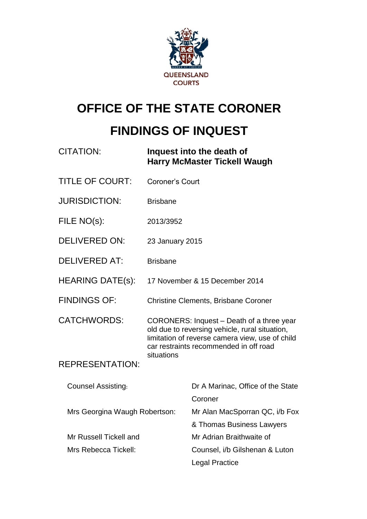

# **OFFICE OF THE STATE CORONER**

## **FINDINGS OF INQUEST**

| <b>CITATION:</b>              | Inquest into the death of<br><b>Harry McMaster Tickell Waugh</b>                                                                                                                         |                                              |
|-------------------------------|------------------------------------------------------------------------------------------------------------------------------------------------------------------------------------------|----------------------------------------------|
| <b>TITLE OF COURT:</b>        | Coroner's Court                                                                                                                                                                          |                                              |
| <b>JURISDICTION:</b>          | <b>Brisbane</b>                                                                                                                                                                          |                                              |
| FILE NO(s):                   | 2013/3952                                                                                                                                                                                |                                              |
| <b>DELIVERED ON:</b>          | 23 January 2015                                                                                                                                                                          |                                              |
| <b>DELIVERED AT:</b>          | <b>Brisbane</b>                                                                                                                                                                          |                                              |
| <b>HEARING DATE(s):</b>       | 17 November & 15 December 2014                                                                                                                                                           |                                              |
| <b>FINDINGS OF:</b>           | <b>Christine Clements, Brisbane Coroner</b>                                                                                                                                              |                                              |
| <b>CATCHWORDS:</b>            | CORONERS: Inquest - Death of a three year<br>old due to reversing vehicle, rural situation,<br>limitation of reverse camera view, use of child<br>car restraints recommended in off road |                                              |
| <b>REPRESENTATION:</b>        | situations                                                                                                                                                                               |                                              |
| <b>Counsel Assisting:</b>     |                                                                                                                                                                                          | Dr A Marinac, Office of the State<br>Coroner |
| Mrs Georgina Waugh Robertson: |                                                                                                                                                                                          | Mr Alan MacSporran QC, i/b Fox               |
|                               |                                                                                                                                                                                          | & Thomas Business Lawyers                    |
| Mr Russell Tickell and        |                                                                                                                                                                                          | Mr Adrian Braithwaite of                     |
| Mrs Rebecca Tickell:          |                                                                                                                                                                                          | Counsel, i/b Gilshenan & Luton               |
|                               |                                                                                                                                                                                          | <b>Legal Practice</b>                        |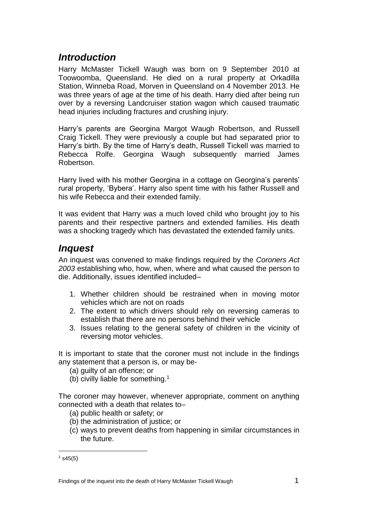### *Introduction*

Harry McMaster Tickell Waugh was born on 9 September 2010 at Toowoomba, Queensland. He died on a rural property at Orkadilla Station, Winneba Road, Morven in Queensland on 4 November 2013. He was three years of age at the time of his death. Harry died after being run over by a reversing Landcruiser station wagon which caused traumatic head injuries including fractures and crushing injury.

Harry's parents are Georgina Margot Waugh Robertson, and Russell Craig Tickell. They were previously a couple but had separated prior to Harry's birth. By the time of Harry's death, Russell Tickell was married to Rebecca Rolfe. Georgina Waugh subsequently married James Robertson.

Harry lived with his mother Georgina in a cottage on Georgina's parents' rural property, 'Bybera'. Harry also spent time with his father Russell and his wife Rebecca and their extended family.

It was evident that Harry was a much loved child who brought joy to his parents and their respective partners and extended families. His death was a shocking tragedy which has devastated the extended family units.

#### *Inquest*

An inquest was convened to make findings required by the *Coroners Act 2003* establishing who, how, when, where and what caused the person to die. Additionally, issues identified included–

- 1. Whether children should be restrained when in moving motor vehicles which are not on roads
- 2. The extent to which drivers should rely on reversing cameras to establish that there are no persons behind their vehicle
- 3. Issues relating to the general safety of children in the vicinity of reversing motor vehicles.

It is important to state that the coroner must not include in the findings any statement that a person is, or may be-

- (a) guilty of an offence; or
- (b) civilly liable for something.<sup>1</sup>

The coroner may however, whenever appropriate, comment on anything connected with a death that relates to–

- (a) public health or safety; or
- (b) the administration of justice; or
- (c) ways to prevent deaths from happening in similar circumstances in the future.

1

 $1$  s45(5)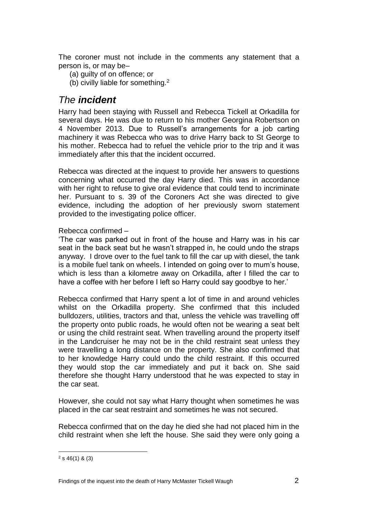The coroner must not include in the comments any statement that a person is, or may be–

- (a) guilty of on offence; or
- (b) civilly liable for something.<sup>2</sup>

#### *The incident*

Harry had been staying with Russell and Rebecca Tickell at Orkadilla for several days. He was due to return to his mother Georgina Robertson on 4 November 2013. Due to Russell's arrangements for a job carting machinery it was Rebecca who was to drive Harry back to St George to his mother. Rebecca had to refuel the vehicle prior to the trip and it was immediately after this that the incident occurred.

Rebecca was directed at the inquest to provide her answers to questions concerning what occurred the day Harry died. This was in accordance with her right to refuse to give oral evidence that could tend to incriminate her. Pursuant to s. 39 of the Coroners Act she was directed to give evidence, including the adoption of her previously sworn statement provided to the investigating police officer.

Rebecca confirmed –

'The car was parked out in front of the house and Harry was in his car seat in the back seat but he wasn't strapped in, he could undo the straps anyway. I drove over to the fuel tank to fill the car up with diesel, the tank is a mobile fuel tank on wheels. I intended on going over to mum's house, which is less than a kilometre away on Orkadilla, after I filled the car to have a coffee with her before I left so Harry could say goodbye to her.'

Rebecca confirmed that Harry spent a lot of time in and around vehicles whilst on the Orkadilla property. She confirmed that this included bulldozers, utilities, tractors and that, unless the vehicle was travelling off the property onto public roads, he would often not be wearing a seat belt or using the child restraint seat. When travelling around the property itself in the Landcruiser he may not be in the child restraint seat unless they were travelling a long distance on the property. She also confirmed that to her knowledge Harry could undo the child restraint. If this occurred they would stop the car immediately and put it back on. She said therefore she thought Harry understood that he was expected to stay in the car seat.

However, she could not say what Harry thought when sometimes he was placed in the car seat restraint and sometimes he was not secured.

Rebecca confirmed that on the day he died she had not placed him in the child restraint when she left the house. She said they were only going a

<sup>&</sup>lt;u>.</u>  $2$  s 46(1) & (3)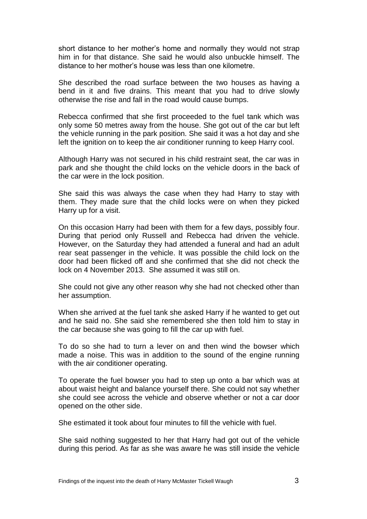short distance to her mother's home and normally they would not strap him in for that distance. She said he would also unbuckle himself. The distance to her mother's house was less than one kilometre.

She described the road surface between the two houses as having a bend in it and five drains. This meant that you had to drive slowly otherwise the rise and fall in the road would cause bumps.

Rebecca confirmed that she first proceeded to the fuel tank which was only some 50 metres away from the house. She got out of the car but left the vehicle running in the park position. She said it was a hot day and she left the ignition on to keep the air conditioner running to keep Harry cool.

Although Harry was not secured in his child restraint seat, the car was in park and she thought the child locks on the vehicle doors in the back of the car were in the lock position.

She said this was always the case when they had Harry to stay with them. They made sure that the child locks were on when they picked Harry up for a visit.

On this occasion Harry had been with them for a few days, possibly four. During that period only Russell and Rebecca had driven the vehicle. However, on the Saturday they had attended a funeral and had an adult rear seat passenger in the vehicle. It was possible the child lock on the door had been flicked off and she confirmed that she did not check the lock on 4 November 2013. She assumed it was still on.

She could not give any other reason why she had not checked other than her assumption.

When she arrived at the fuel tank she asked Harry if he wanted to get out and he said no. She said she remembered she then told him to stay in the car because she was going to fill the car up with fuel.

To do so she had to turn a lever on and then wind the bowser which made a noise. This was in addition to the sound of the engine running with the air conditioner operating.

To operate the fuel bowser you had to step up onto a bar which was at about waist height and balance yourself there. She could not say whether she could see across the vehicle and observe whether or not a car door opened on the other side.

She estimated it took about four minutes to fill the vehicle with fuel.

She said nothing suggested to her that Harry had got out of the vehicle during this period. As far as she was aware he was still inside the vehicle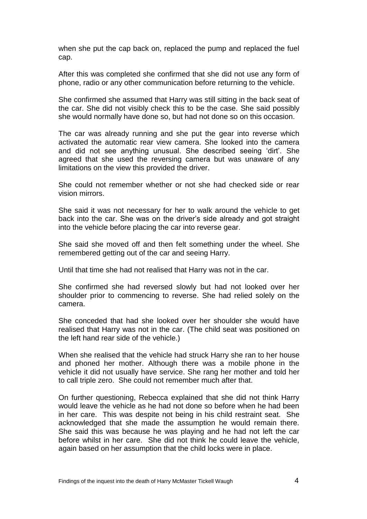when she put the cap back on, replaced the pump and replaced the fuel cap.

After this was completed she confirmed that she did not use any form of phone, radio or any other communication before returning to the vehicle.

She confirmed she assumed that Harry was still sitting in the back seat of the car. She did not visibly check this to be the case. She said possibly she would normally have done so, but had not done so on this occasion.

The car was already running and she put the gear into reverse which activated the automatic rear view camera. She looked into the camera and did not see anything unusual. She described seeing 'dirt'. She agreed that she used the reversing camera but was unaware of any limitations on the view this provided the driver.

She could not remember whether or not she had checked side or rear vision mirrors.

She said it was not necessary for her to walk around the vehicle to get back into the car. She was on the driver's side already and got straight into the vehicle before placing the car into reverse gear.

She said she moved off and then felt something under the wheel. She remembered getting out of the car and seeing Harry.

Until that time she had not realised that Harry was not in the car.

She confirmed she had reversed slowly but had not looked over her shoulder prior to commencing to reverse. She had relied solely on the camera.

She conceded that had she looked over her shoulder she would have realised that Harry was not in the car. (The child seat was positioned on the left hand rear side of the vehicle.)

When she realised that the vehicle had struck Harry she ran to her house and phoned her mother. Although there was a mobile phone in the vehicle it did not usually have service. She rang her mother and told her to call triple zero. She could not remember much after that.

On further questioning, Rebecca explained that she did not think Harry would leave the vehicle as he had not done so before when he had been in her care. This was despite not being in his child restraint seat. She acknowledged that she made the assumption he would remain there. She said this was because he was playing and he had not left the car before whilst in her care. She did not think he could leave the vehicle, again based on her assumption that the child locks were in place.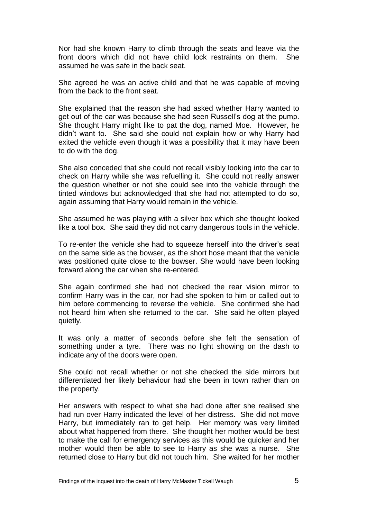Nor had she known Harry to climb through the seats and leave via the front doors which did not have child lock restraints on them. She assumed he was safe in the back seat.

She agreed he was an active child and that he was capable of moving from the back to the front seat.

She explained that the reason she had asked whether Harry wanted to get out of the car was because she had seen Russell's dog at the pump. She thought Harry might like to pat the dog, named Moe. However, he didn't want to. She said she could not explain how or why Harry had exited the vehicle even though it was a possibility that it may have been to do with the dog.

She also conceded that she could not recall visibly looking into the car to check on Harry while she was refuelling it. She could not really answer the question whether or not she could see into the vehicle through the tinted windows but acknowledged that she had not attempted to do so, again assuming that Harry would remain in the vehicle.

She assumed he was playing with a silver box which she thought looked like a tool box. She said they did not carry dangerous tools in the vehicle.

To re-enter the vehicle she had to squeeze herself into the driver's seat on the same side as the bowser, as the short hose meant that the vehicle was positioned quite close to the bowser. She would have been looking forward along the car when she re-entered.

She again confirmed she had not checked the rear vision mirror to confirm Harry was in the car, nor had she spoken to him or called out to him before commencing to reverse the vehicle. She confirmed she had not heard him when she returned to the car. She said he often played quietly.

It was only a matter of seconds before she felt the sensation of something under a tyre. There was no light showing on the dash to indicate any of the doors were open.

She could not recall whether or not she checked the side mirrors but differentiated her likely behaviour had she been in town rather than on the property.

Her answers with respect to what she had done after she realised she had run over Harry indicated the level of her distress. She did not move Harry, but immediately ran to get help. Her memory was very limited about what happened from there. She thought her mother would be best to make the call for emergency services as this would be quicker and her mother would then be able to see to Harry as she was a nurse. She returned close to Harry but did not touch him. She waited for her mother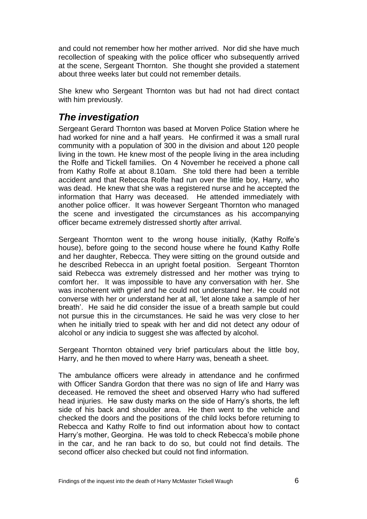and could not remember how her mother arrived. Nor did she have much recollection of speaking with the police officer who subsequently arrived at the scene, Sergeant Thornton. She thought she provided a statement about three weeks later but could not remember details.

She knew who Sergeant Thornton was but had not had direct contact with him previously.

### *The investigation*

Sergeant Gerard Thornton was based at Morven Police Station where he had worked for nine and a half years. He confirmed it was a small rural community with a population of 300 in the division and about 120 people living in the town. He knew most of the people living in the area including the Rolfe and Tickell families. On 4 November he received a phone call from Kathy Rolfe at about 8.10am. She told there had been a terrible accident and that Rebecca Rolfe had run over the little boy, Harry, who was dead. He knew that she was a registered nurse and he accepted the information that Harry was deceased. He attended immediately with another police officer. It was however Sergeant Thornton who managed the scene and investigated the circumstances as his accompanying officer became extremely distressed shortly after arrival.

Sergeant Thornton went to the wrong house initially, (Kathy Rolfe's house), before going to the second house where he found Kathy Rolfe and her daughter, Rebecca. They were sitting on the ground outside and he described Rebecca in an upright foetal position. Sergeant Thornton said Rebecca was extremely distressed and her mother was trying to comfort her. It was impossible to have any conversation with her. She was incoherent with grief and he could not understand her. He could not converse with her or understand her at all, 'let alone take a sample of her breath'. He said he did consider the issue of a breath sample but could not pursue this in the circumstances. He said he was very close to her when he initially tried to speak with her and did not detect any odour of alcohol or any indicia to suggest she was affected by alcohol.

Sergeant Thornton obtained very brief particulars about the little boy, Harry, and he then moved to where Harry was, beneath a sheet.

The ambulance officers were already in attendance and he confirmed with Officer Sandra Gordon that there was no sign of life and Harry was deceased. He removed the sheet and observed Harry who had suffered head injuries. He saw dusty marks on the side of Harry's shorts, the left side of his back and shoulder area. He then went to the vehicle and checked the doors and the positions of the child locks before returning to Rebecca and Kathy Rolfe to find out information about how to contact Harry's mother, Georgina. He was told to check Rebecca's mobile phone in the car, and he ran back to do so, but could not find details. The second officer also checked but could not find information.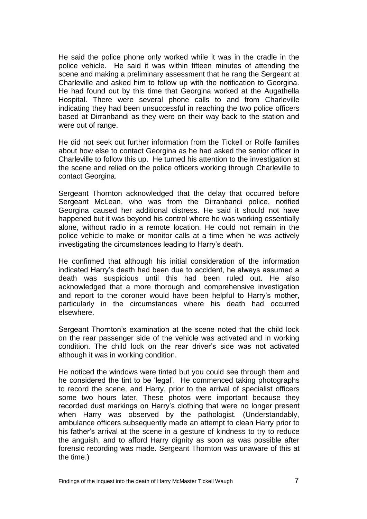He said the police phone only worked while it was in the cradle in the police vehicle. He said it was within fifteen minutes of attending the scene and making a preliminary assessment that he rang the Sergeant at Charleville and asked him to follow up with the notification to Georgina. He had found out by this time that Georgina worked at the Augathella Hospital. There were several phone calls to and from Charleville indicating they had been unsuccessful in reaching the two police officers based at Dirranbandi as they were on their way back to the station and were out of range.

He did not seek out further information from the Tickell or Rolfe families about how else to contact Georgina as he had asked the senior officer in Charleville to follow this up. He turned his attention to the investigation at the scene and relied on the police officers working through Charleville to contact Georgina.

Sergeant Thornton acknowledged that the delay that occurred before Sergeant McLean, who was from the Dirranbandi police, notified Georgina caused her additional distress. He said it should not have happened but it was beyond his control where he was working essentially alone, without radio in a remote location. He could not remain in the police vehicle to make or monitor calls at a time when he was actively investigating the circumstances leading to Harry's death.

He confirmed that although his initial consideration of the information indicated Harry's death had been due to accident, he always assumed a death was suspicious until this had been ruled out. He also acknowledged that a more thorough and comprehensive investigation and report to the coroner would have been helpful to Harry's mother, particularly in the circumstances where his death had occurred elsewhere.

Sergeant Thornton's examination at the scene noted that the child lock on the rear passenger side of the vehicle was activated and in working condition. The child lock on the rear driver's side was not activated although it was in working condition.

He noticed the windows were tinted but you could see through them and he considered the tint to be 'legal'. He commenced taking photographs to record the scene, and Harry, prior to the arrival of specialist officers some two hours later. These photos were important because they recorded dust markings on Harry's clothing that were no longer present when Harry was observed by the pathologist. (Understandably, ambulance officers subsequently made an attempt to clean Harry prior to his father's arrival at the scene in a gesture of kindness to try to reduce the anguish, and to afford Harry dignity as soon as was possible after forensic recording was made. Sergeant Thornton was unaware of this at the time.)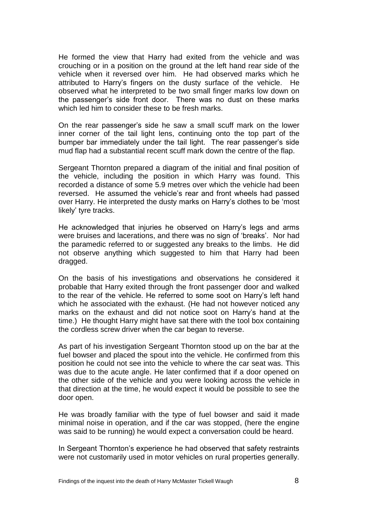He formed the view that Harry had exited from the vehicle and was crouching or in a position on the ground at the left hand rear side of the vehicle when it reversed over him. He had observed marks which he attributed to Harry's fingers on the dusty surface of the vehicle. He observed what he interpreted to be two small finger marks low down on the passenger's side front door. There was no dust on these marks which led him to consider these to be fresh marks.

On the rear passenger's side he saw a small scuff mark on the lower inner corner of the tail light lens, continuing onto the top part of the bumper bar immediately under the tail light. The rear passenger's side mud flap had a substantial recent scuff mark down the centre of the flap.

Sergeant Thornton prepared a diagram of the initial and final position of the vehicle, including the position in which Harry was found. This recorded a distance of some 5.9 metres over which the vehicle had been reversed. He assumed the vehicle's rear and front wheels had passed over Harry. He interpreted the dusty marks on Harry's clothes to be 'most likely' tyre tracks.

He acknowledged that injuries he observed on Harry's legs and arms were bruises and lacerations, and there was no sign of 'breaks'. Nor had the paramedic referred to or suggested any breaks to the limbs. He did not observe anything which suggested to him that Harry had been dragged.

On the basis of his investigations and observations he considered it probable that Harry exited through the front passenger door and walked to the rear of the vehicle. He referred to some soot on Harry's left hand which he associated with the exhaust. (He had not however noticed any marks on the exhaust and did not notice soot on Harry's hand at the time.) He thought Harry might have sat there with the tool box containing the cordless screw driver when the car began to reverse.

As part of his investigation Sergeant Thornton stood up on the bar at the fuel bowser and placed the spout into the vehicle. He confirmed from this position he could not see into the vehicle to where the car seat was. This was due to the acute angle. He later confirmed that if a door opened on the other side of the vehicle and you were looking across the vehicle in that direction at the time, he would expect it would be possible to see the door open.

He was broadly familiar with the type of fuel bowser and said it made minimal noise in operation, and if the car was stopped, (here the engine was said to be running) he would expect a conversation could be heard.

In Sergeant Thornton's experience he had observed that safety restraints were not customarily used in motor vehicles on rural properties generally.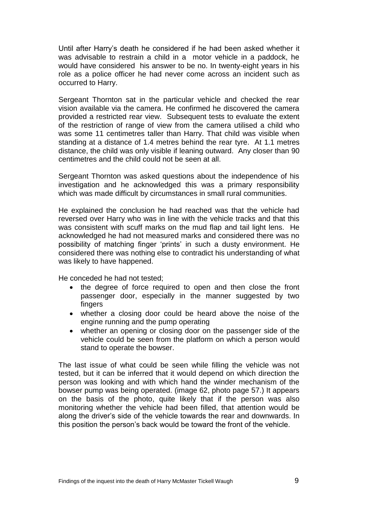Until after Harry's death he considered if he had been asked whether it was advisable to restrain a child in a motor vehicle in a paddock, he would have considered his answer to be no. In twenty-eight years in his role as a police officer he had never come across an incident such as occurred to Harry.

Sergeant Thornton sat in the particular vehicle and checked the rear vision available via the camera. He confirmed he discovered the camera provided a restricted rear view. Subsequent tests to evaluate the extent of the restriction of range of view from the camera utilised a child who was some 11 centimetres taller than Harry. That child was visible when standing at a distance of 1.4 metres behind the rear tyre. At 1.1 metres distance, the child was only visible if leaning outward. Any closer than 90 centimetres and the child could not be seen at all.

Sergeant Thornton was asked questions about the independence of his investigation and he acknowledged this was a primary responsibility which was made difficult by circumstances in small rural communities.

He explained the conclusion he had reached was that the vehicle had reversed over Harry who was in line with the vehicle tracks and that this was consistent with scuff marks on the mud flap and tail light lens. He acknowledged he had not measured marks and considered there was no possibility of matching finger 'prints' in such a dusty environment. He considered there was nothing else to contradict his understanding of what was likely to have happened.

He conceded he had not tested;

- the degree of force required to open and then close the front passenger door, especially in the manner suggested by two fingers
- whether a closing door could be heard above the noise of the engine running and the pump operating
- whether an opening or closing door on the passenger side of the vehicle could be seen from the platform on which a person would stand to operate the bowser.

The last issue of what could be seen while filling the vehicle was not tested, but it can be inferred that it would depend on which direction the person was looking and with which hand the winder mechanism of the bowser pump was being operated. (image 62, photo page 57.) It appears on the basis of the photo, quite likely that if the person was also monitoring whether the vehicle had been filled, that attention would be along the driver's side of the vehicle towards the rear and downwards. In this position the person's back would be toward the front of the vehicle.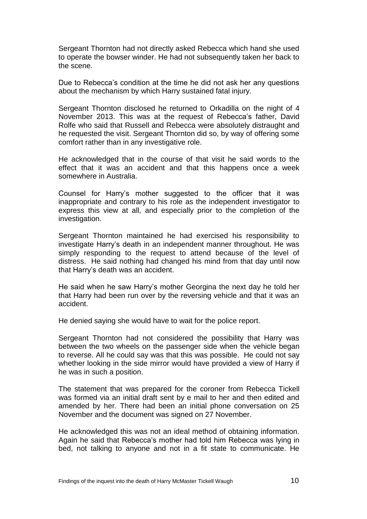Sergeant Thornton had not directly asked Rebecca which hand she used to operate the bowser winder. He had not subsequently taken her back to the scene.

Due to Rebecca's condition at the time he did not ask her any questions about the mechanism by which Harry sustained fatal injury.

Sergeant Thornton disclosed he returned to Orkadilla on the night of 4 November 2013. This was at the request of Rebecca's father, David Rolfe who said that Russell and Rebecca were absolutely distraught and he requested the visit. Sergeant Thornton did so, by way of offering some comfort rather than in any investigative role.

He acknowledged that in the course of that visit he said words to the effect that it was an accident and that this happens once a week somewhere in Australia.

Counsel for Harry's mother suggested to the officer that it was inappropriate and contrary to his role as the independent investigator to express this view at all, and especially prior to the completion of the investigation.

Sergeant Thornton maintained he had exercised his responsibility to investigate Harry's death in an independent manner throughout. He was simply responding to the request to attend because of the level of distress. He said nothing had changed his mind from that day until now that Harry's death was an accident.

He said when he saw Harry's mother Georgina the next day he told her that Harry had been run over by the reversing vehicle and that it was an accident.

He denied saying she would have to wait for the police report.

Sergeant Thornton had not considered the possibility that Harry was between the two wheels on the passenger side when the vehicle began to reverse. All he could say was that this was possible. He could not say whether looking in the side mirror would have provided a view of Harry if he was in such a position.

The statement that was prepared for the coroner from Rebecca Tickell was formed via an initial draft sent by e mail to her and then edited and amended by her. There had been an initial phone conversation on 25 November and the document was signed on 27 November.

He acknowledged this was not an ideal method of obtaining information. Again he said that Rebecca's mother had told him Rebecca was lying in bed, not talking to anyone and not in a fit state to communicate. He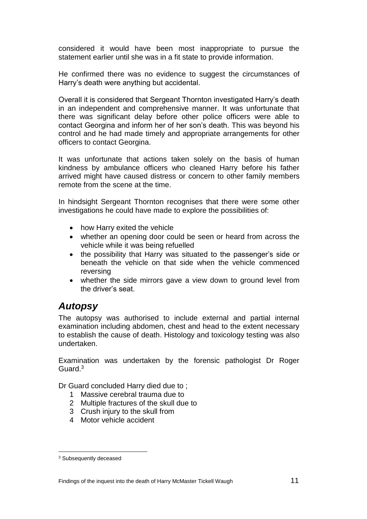considered it would have been most inappropriate to pursue the statement earlier until she was in a fit state to provide information.

He confirmed there was no evidence to suggest the circumstances of Harry's death were anything but accidental.

Overall it is considered that Sergeant Thornton investigated Harry's death in an independent and comprehensive manner. It was unfortunate that there was significant delay before other police officers were able to contact Georgina and inform her of her son's death. This was beyond his control and he had made timely and appropriate arrangements for other officers to contact Georgina.

It was unfortunate that actions taken solely on the basis of human kindness by ambulance officers who cleaned Harry before his father arrived might have caused distress or concern to other family members remote from the scene at the time.

In hindsight Sergeant Thornton recognises that there were some other investigations he could have made to explore the possibilities of:

- how Harry exited the vehicle
- whether an opening door could be seen or heard from across the vehicle while it was being refuelled
- the possibility that Harry was situated to the passenger's side or beneath the vehicle on that side when the vehicle commenced reversing
- whether the side mirrors gave a view down to ground level from the driver's seat.

#### *Autopsy*

The autopsy was authorised to include external and partial internal examination including abdomen, chest and head to the extent necessary to establish the cause of death. Histology and toxicology testing was also undertaken.

Examination was undertaken by the forensic pathologist Dr Roger Guard. 3

Dr Guard concluded Harry died due to ;

- 1 Massive cerebral trauma due to
- 2 Multiple fractures of the skull due to
- 3 Crush injury to the skull from
- 4 Motor vehicle accident

<u>.</u>

<sup>3</sup> Subsequently deceased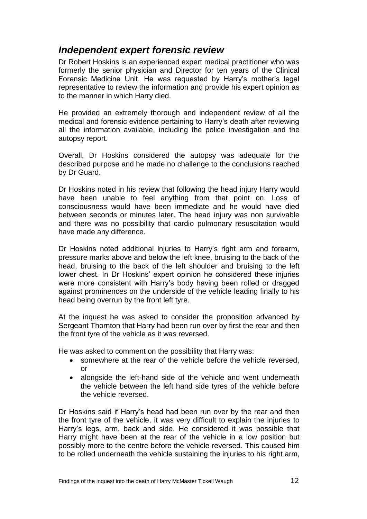#### *Independent expert forensic review*

Dr Robert Hoskins is an experienced expert medical practitioner who was formerly the senior physician and Director for ten years of the Clinical Forensic Medicine Unit. He was requested by Harry's mother's legal representative to review the information and provide his expert opinion as to the manner in which Harry died.

He provided an extremely thorough and independent review of all the medical and forensic evidence pertaining to Harry's death after reviewing all the information available, including the police investigation and the autopsy report.

Overall, Dr Hoskins considered the autopsy was adequate for the described purpose and he made no challenge to the conclusions reached by Dr Guard.

Dr Hoskins noted in his review that following the head injury Harry would have been unable to feel anything from that point on. Loss of consciousness would have been immediate and he would have died between seconds or minutes later. The head injury was non survivable and there was no possibility that cardio pulmonary resuscitation would have made any difference.

Dr Hoskins noted additional injuries to Harry's right arm and forearm, pressure marks above and below the left knee, bruising to the back of the head, bruising to the back of the left shoulder and bruising to the left lower chest. In Dr Hoskins' expert opinion he considered these injuries were more consistent with Harry's body having been rolled or dragged against prominences on the underside of the vehicle leading finally to his head being overrun by the front left tyre.

At the inquest he was asked to consider the proposition advanced by Sergeant Thornton that Harry had been run over by first the rear and then the front tyre of the vehicle as it was reversed.

He was asked to comment on the possibility that Harry was:

- somewhere at the rear of the vehicle before the vehicle reversed, or
- alongside the left-hand side of the vehicle and went underneath the vehicle between the left hand side tyres of the vehicle before the vehicle reversed.

Dr Hoskins said if Harry's head had been run over by the rear and then the front tyre of the vehicle, it was very difficult to explain the injuries to Harry's legs, arm, back and side. He considered it was possible that Harry might have been at the rear of the vehicle in a low position but possibly more to the centre before the vehicle reversed. This caused him to be rolled underneath the vehicle sustaining the injuries to his right arm,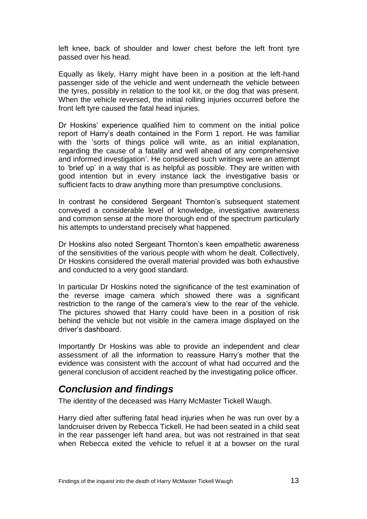left knee, back of shoulder and lower chest before the left front tyre passed over his head.

Equally as likely, Harry might have been in a position at the left-hand passenger side of the vehicle and went underneath the vehicle between the tyres, possibly in relation to the tool kit, or the dog that was present. When the vehicle reversed, the initial rolling injuries occurred before the front left tyre caused the fatal head injuries.

Dr Hoskins' experience qualified him to comment on the initial police report of Harry's death contained in the Form 1 report. He was familiar with the 'sorts of things police will write, as an initial explanation, regarding the cause of a fatality and well ahead of any comprehensive and informed investigation'. He considered such writings were an attempt to 'brief up' in a way that is as helpful as possible. They are written with good intention but in every instance lack the investigative basis or sufficient facts to draw anything more than presumptive conclusions.

In contrast he considered Sergeant Thornton's subsequent statement conveyed a considerable level of knowledge, investigative awareness and common sense at the more thorough end of the spectrum particularly his attempts to understand precisely what happened.

Dr Hoskins also noted Sergeant Thornton's keen empathetic awareness of the sensitivities of the various people with whom he dealt. Collectively, Dr Hoskins considered the overall material provided was both exhaustive and conducted to a very good standard.

In particular Dr Hoskins noted the significance of the test examination of the reverse image camera which showed there was a significant restriction to the range of the camera's view to the rear of the vehicle. The pictures showed that Harry could have been in a position of risk behind the vehicle but not visible in the camera image displayed on the driver's dashboard.

Importantly Dr Hoskins was able to provide an independent and clear assessment of all the information to reassure Harry's mother that the evidence was consistent with the account of what had occurred and the general conclusion of accident reached by the investigating police officer.

#### *Conclusion and findings*

The identity of the deceased was Harry McMaster Tickell Waugh.

Harry died after suffering fatal head injuries when he was run over by a landcruiser driven by Rebecca Tickell. He had been seated in a child seat in the rear passenger left hand area, but was not restrained in that seat when Rebecca exited the vehicle to refuel it at a bowser on the rural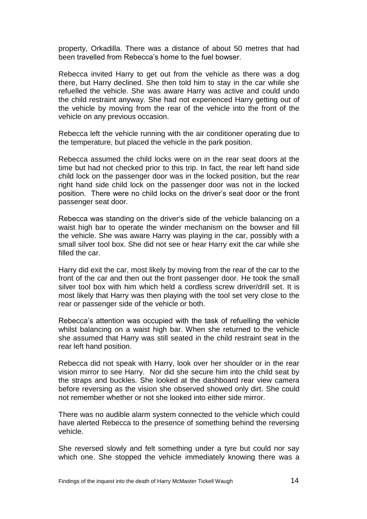property, Orkadilla. There was a distance of about 50 metres that had been travelled from Rebecca's home to the fuel bowser.

Rebecca invited Harry to get out from the vehicle as there was a dog there, but Harry declined. She then told him to stay in the car while she refuelled the vehicle. She was aware Harry was active and could undo the child restraint anyway. She had not experienced Harry getting out of the vehicle by moving from the rear of the vehicle into the front of the vehicle on any previous occasion.

Rebecca left the vehicle running with the air conditioner operating due to the temperature, but placed the vehicle in the park position.

Rebecca assumed the child locks were on in the rear seat doors at the time but had not checked prior to this trip. In fact, the rear left hand side child lock on the passenger door was in the locked position, but the rear right hand side child lock on the passenger door was not in the locked position. There were no child locks on the driver's seat door or the front passenger seat door.

Rebecca was standing on the driver's side of the vehicle balancing on a waist high bar to operate the winder mechanism on the bowser and fill the vehicle. She was aware Harry was playing in the car, possibly with a small silver tool box. She did not see or hear Harry exit the car while she filled the car.

Harry did exit the car, most likely by moving from the rear of the car to the front of the car and then out the front passenger door. He took the small silver tool box with him which held a cordless screw driver/drill set. It is most likely that Harry was then playing with the tool set very close to the rear or passenger side of the vehicle or both.

Rebecca's attention was occupied with the task of refuelling the vehicle whilst balancing on a waist high bar. When she returned to the vehicle she assumed that Harry was still seated in the child restraint seat in the rear left hand position.

Rebecca did not speak with Harry, look over her shoulder or in the rear vision mirror to see Harry. Nor did she secure him into the child seat by the straps and buckles. She looked at the dashboard rear view camera before reversing as the vision she observed showed only dirt. She could not remember whether or not she looked into either side mirror.

There was no audible alarm system connected to the vehicle which could have alerted Rebecca to the presence of something behind the reversing vehicle.

She reversed slowly and felt something under a tyre but could nor say which one. She stopped the vehicle immediately knowing there was a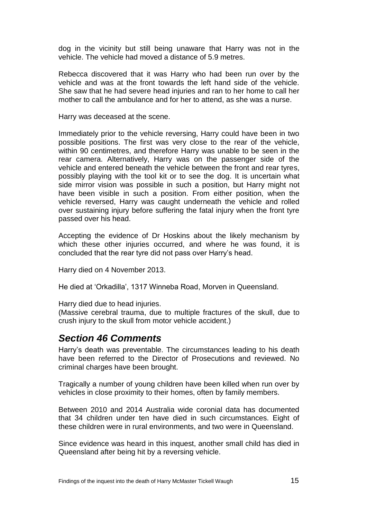dog in the vicinity but still being unaware that Harry was not in the vehicle. The vehicle had moved a distance of 5.9 metres.

Rebecca discovered that it was Harry who had been run over by the vehicle and was at the front towards the left hand side of the vehicle. She saw that he had severe head injuries and ran to her home to call her mother to call the ambulance and for her to attend, as she was a nurse.

Harry was deceased at the scene.

Immediately prior to the vehicle reversing, Harry could have been in two possible positions. The first was very close to the rear of the vehicle, within 90 centimetres, and therefore Harry was unable to be seen in the rear camera. Alternatively, Harry was on the passenger side of the vehicle and entered beneath the vehicle between the front and rear tyres, possibly playing with the tool kit or to see the dog. It is uncertain what side mirror vision was possible in such a position, but Harry might not have been visible in such a position. From either position, when the vehicle reversed, Harry was caught underneath the vehicle and rolled over sustaining injury before suffering the fatal injury when the front tyre passed over his head.

Accepting the evidence of Dr Hoskins about the likely mechanism by which these other injuries occurred, and where he was found, it is concluded that the rear tyre did not pass over Harry's head.

Harry died on 4 November 2013.

He died at 'Orkadilla', 1317 Winneba Road, Morven in Queensland.

Harry died due to head injuries.

(Massive cerebral trauma, due to multiple fractures of the skull, due to crush injury to the skull from motor vehicle accident.)

#### *Section 46 Comments*

Harry's death was preventable. The circumstances leading to his death have been referred to the Director of Prosecutions and reviewed. No criminal charges have been brought.

Tragically a number of young children have been killed when run over by vehicles in close proximity to their homes, often by family members.

Between 2010 and 2014 Australia wide coronial data has documented that 34 children under ten have died in such circumstances. Eight of these children were in rural environments, and two were in Queensland.

Since evidence was heard in this inquest, another small child has died in Queensland after being hit by a reversing vehicle.